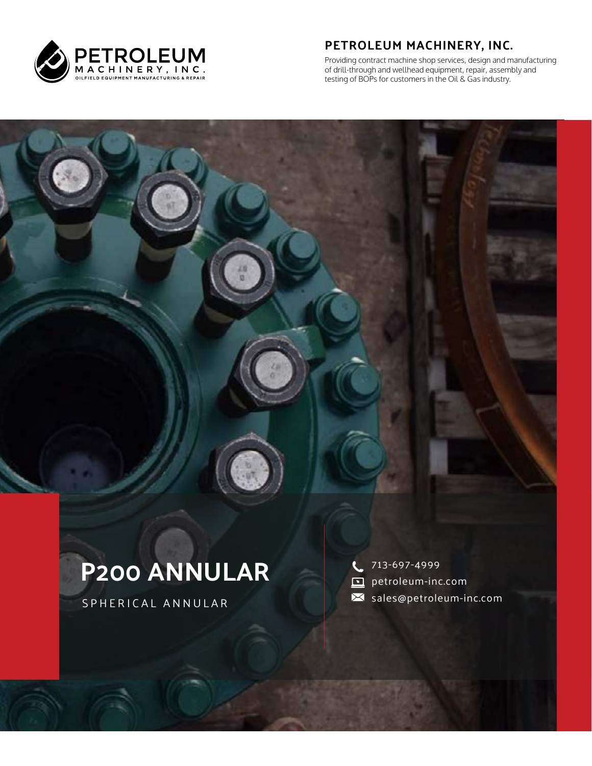

#### **PETROLEUM MACHINERY, INC.**

Providing contract machine shop services, design and manufacturing of drill-through and wellhead equipment, repair, assembly and testing of BOPs for customers in the Oil & Gas industry.

# **P200 ANNULAR**

SPHERICAL ANNULAR

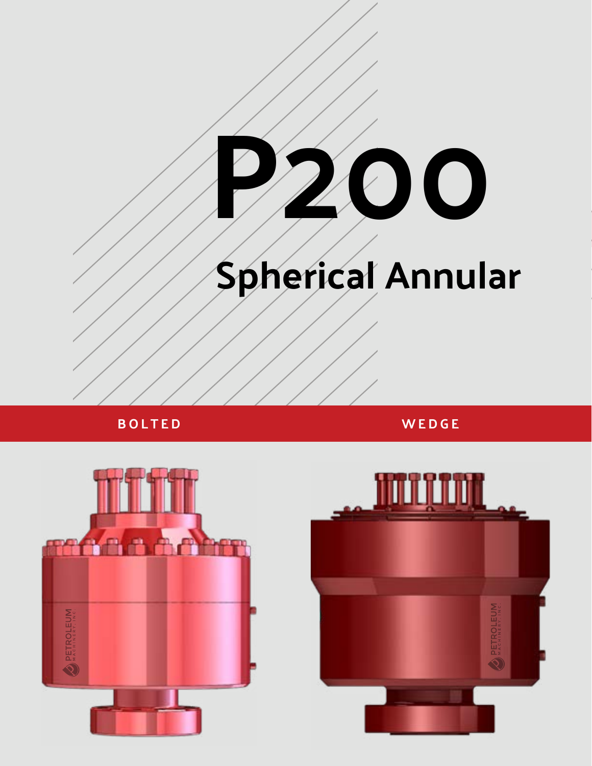

**BOLTED WEDGE**



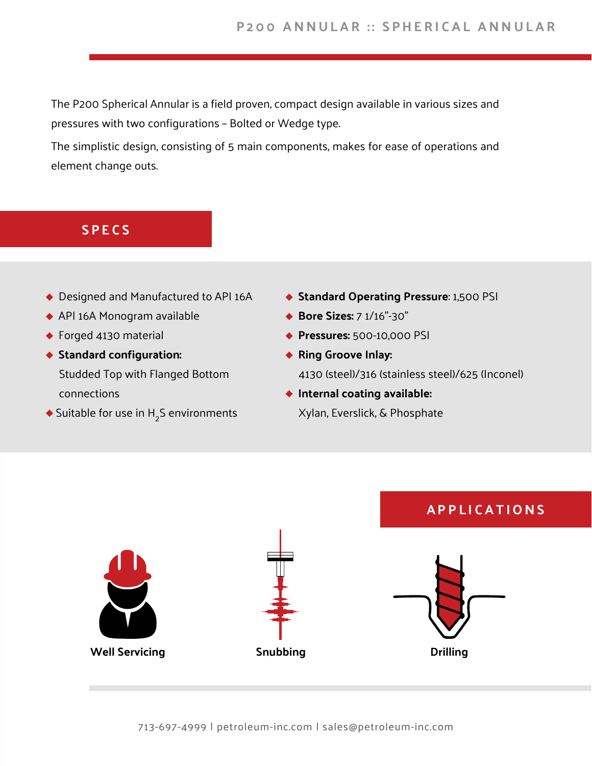The P200 Spherical Annular is a field proven, compact design available in various sizes and pressures with two configurations – Bolted or Wedge type.

The simplistic design, consisting of 5 main components, makes for ease of operations and element change outs.

#### **SPECS**

- ◆ Designed and Manufactured to API 16A
- API 16A Monogram available
- ◆ Forged 4130 material
- **Standard configuration:** Studded Top with Flanged Bottom connections
- Suitable for use in  $H_2$ S environments
- **Standard Operating Pressure**: 1,500 PSI
- ◆ **Bore Sizes:** 7 1/16"-30"
- **Pressures:** 500-10,000 PSI
- **Ring Groove Inlay:**  4130 (steel)/316 (stainless steel)/625 (Inconel)
- **Internal coating available:** Xylan, Everslick, & Phosphate

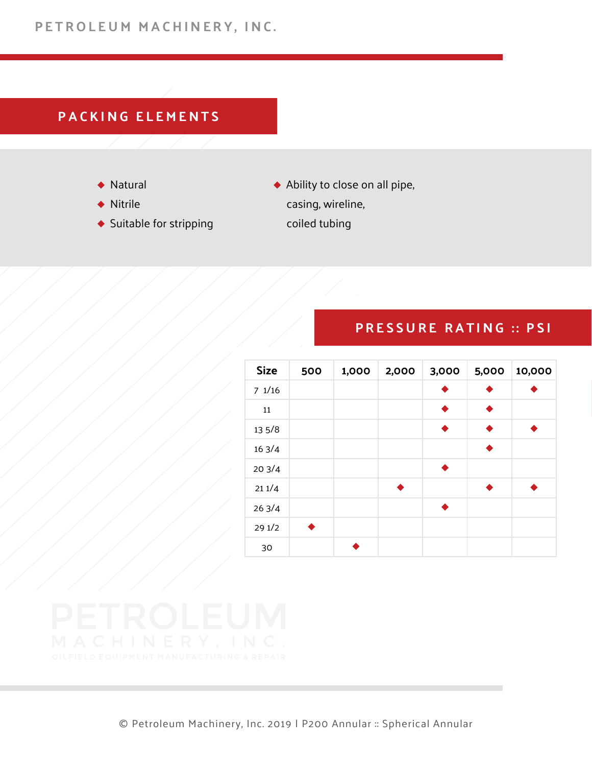# **PACKING ELEMENTS**

- ◆ Natural
- ◆ Nitrile
- $\blacklozenge$  Suitable for stripping
- Ability to close on all pipe, casing, wireline, coiled tubing

### **PRESSURE RATING :: PSI**

| <b>Size</b> | 500 | 1,000 | 2,000 | 3,000 | 5,000           | 10,000 |
|-------------|-----|-------|-------|-------|-----------------|--------|
| 71/16       |     |       |       |       |                 |        |
| 11          |     |       |       |       |                 |        |
| 13 5/8      |     |       |       |       |                 |        |
| 163/4       |     |       |       |       | $\blacklozenge$ |        |
| 203/4       |     |       |       | ▲     |                 |        |
| 211/4       |     |       |       |       |                 |        |
| 263/4       |     |       |       |       |                 |        |
| 291/2       |     |       |       |       |                 |        |
| 30          |     |       |       |       |                 |        |

© Petroleum Machinery, Inc. 2019 | P200 Annular :: Spherical Annular